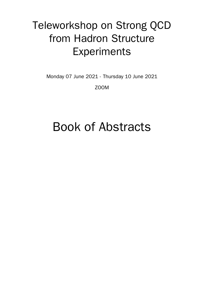# Teleworkshop on Strong QCD from Hadron Structure Experiments

Monday 07 June 2021 - Thursday 10 June 2021

ZOOM

# Book of Abstracts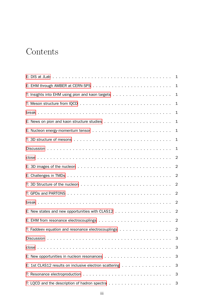# <span id="page-2-0"></span>Contents

|                                                        | 1              |
|--------------------------------------------------------|----------------|
|                                                        | $\mathbf 1$    |
|                                                        | $\mathbf{1}$   |
|                                                        | 1              |
|                                                        | 1              |
|                                                        | $\mathbf 1$    |
|                                                        | $\mathbf{1}$   |
|                                                        | $\mathbf 1$    |
|                                                        | 1              |
|                                                        | 2              |
|                                                        | $\overline{2}$ |
|                                                        | 2              |
|                                                        | 2              |
|                                                        | 2              |
|                                                        | 2              |
|                                                        | $\overline{2}$ |
|                                                        |                |
| T: Faddeev equation and resonance electrocouplings 2   |                |
|                                                        | 3              |
|                                                        | 3              |
|                                                        | 3              |
| E: 1st CLAS12 results on inclusive electron scattering | 3              |
|                                                        | З              |
|                                                        | 3              |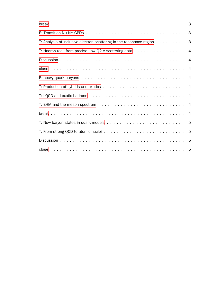|                                                                        | 3 |
|------------------------------------------------------------------------|---|
| T: Analysis of inclusive electron scattering in the resonance region 3 |   |
| T: Hadron radii from precise, low-Q2 e-scattering data 4               |   |
|                                                                        |   |
|                                                                        |   |
|                                                                        |   |
|                                                                        |   |
|                                                                        |   |
|                                                                        |   |
|                                                                        |   |
|                                                                        |   |
|                                                                        |   |
|                                                                        |   |
|                                                                        |   |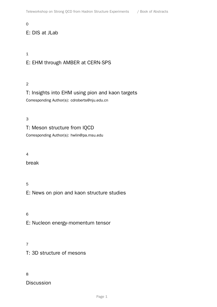#### 0

# E: DIS at JLab

#### 1

# E: EHM through AMBER at CERN-SPS

#### 2

# T: Insights into EHM using pion and kaon targets Corresponding Author(s): cdroberts@nju.edu.cn

#### 3

# T: Meson structure from lQCD

Corresponding Author(s): hwlin@pa.msu.edu

#### 4

break

#### 5

E: News on pion and kaon structure studies

6

E: Nucleon energy-momentum tensor

#### 7

T: 3D structure of mesons

#### 8

**Discussion**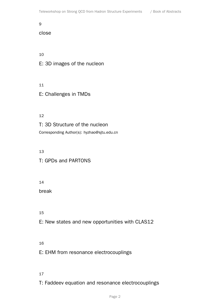#### 9

#### close

10

- E: 3D images of the nucleon
- 11
- E: Challenges in TMDs

#### 12

T: 3D Structure of the nucleon Corresponding Author(s): hyzhao@sjtu.edu.cn

#### 13

- T: GPDs and PARTONS
- 14

break

15

- E: New states and new opportunities with CLAS12
- 16

E: EHM from resonance electrocouplings

- 17
- T: Faddeev equation and resonance electrocouplings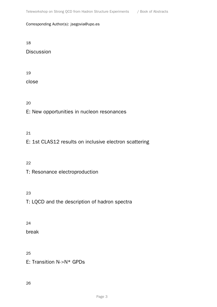Corresponding Author(s): jsegovia@upo.es

18

Discussion

19

close

20

E: New opportunities in nucleon resonances

#### 21

E: 1st CLAS12 results on inclusive electron scattering

22

T: Resonance electroproduction

23

T: LQCD and the description of hadron spectra

24

break

25

E: Transition N->N\* GPDs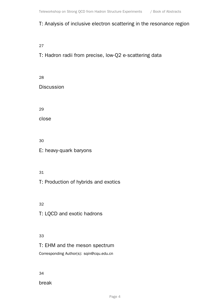### T: Analysis of inclusive electron scattering in the resonance region

27

# T: Hadron radii from precise, low-Q2 e-scattering data

28 **Discussion** 29

close

30

E: heavy-quark baryons

#### 31

T: Production of hybrids and exotics

32

T: LQCD and exotic hadrons

#### 33

T: EHM and the meson spectrum Corresponding Author(s): sqin@cqu.edu.cn

34

break